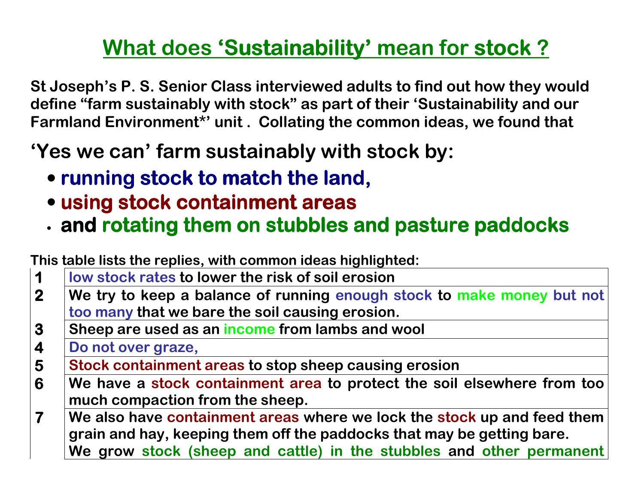## <u>What does 'Sustainability' mean for stock?</u>

St Joseph's P. S. Senior Class interviewed adults to find out how they would define "farm sustainably with stock" as part of their 'Sustainability and our Farmland Environment\*' unit . Collating the common ideas, we found that

## 'Yes we can' farm sustainably with stock by:

- running stock to match the land,
- using stock containment areas
- and rotating them on stubbles and pasture paddocks

This table lists the replies, with common ideas highlighted:

| $\blacktriangleleft$    | low stock rates to lower the risk of soil erosion                                                                                                                                                                         |
|-------------------------|---------------------------------------------------------------------------------------------------------------------------------------------------------------------------------------------------------------------------|
| $\mathbf{2}$            | We try to keep a balance of running enough stock to make money but not                                                                                                                                                    |
|                         | too many that we bare the soil causing erosion.                                                                                                                                                                           |
| 3                       | Sheep are used as an income from lambs and wool                                                                                                                                                                           |
| $\overline{\mathbf{4}}$ | Do not over graze,                                                                                                                                                                                                        |
| $5\overline{)}$         | Stock containment areas to stop sheep causing erosion                                                                                                                                                                     |
| 6                       | We have a stock containment area to protect the soil elsewhere from too<br>much compaction from the sheep.                                                                                                                |
| $\mathbf{7}$            | We also have containment areas where we lock the stock up and feed them<br>grain and hay, keeping them off the paddocks that may be getting bare.<br>We grow stock (sheep and cattle) in the stubbles and other permanent |